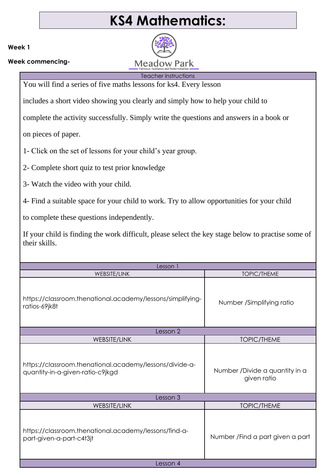## **KS4 Mathematics:**

**Meadow Park** 

**Week 1**

**Week commencing-**

Teacher instructions You will find a series of five maths lessons for ks4. Every lesson

includes a short video showing you clearly and simply how to help your child to

complete the activity successfully. Simply write the questions and answers in a book or

on pieces of paper.

1- Click on the set of lessons for your child's year group.

2- Complete short quiz to test prior knowledge

3- Watch the video with your child.

4- Find a suitable space for your child to work. Try to allow opportunities for your child

to complete these questions independently.

If your child is finding the work difficult, please select the key stage below to practise some of their skills.

| Lesson 1                                                                                    |                                                |  |
|---------------------------------------------------------------------------------------------|------------------------------------------------|--|
| <b>WEBSITE/LINK</b>                                                                         | <b>TOPIC/THEME</b>                             |  |
| https://classroom.thenational.academy/lessons/simplifying-<br>ratios-69jk8t                 | Number /Simplifying ratio                      |  |
| Lesson 2                                                                                    |                                                |  |
| WEBSITE/LINK                                                                                | <b>TOPIC/THEME</b>                             |  |
| https://classroom.thenational.academy/lessons/divide-a-<br>quantity-in-a-given-ratio-c9jkgd | Number / Divide a quantity in a<br>given ratio |  |
| Lesson 3                                                                                    |                                                |  |
| WEBSITE/LINK                                                                                | <b>TOPIC/THEME</b>                             |  |
| https://classroom.thenational.academy/lessons/find-a-<br>part-given-a-part-c4t3jt           | Number / Find a part given a part              |  |
| Lesson 4                                                                                    |                                                |  |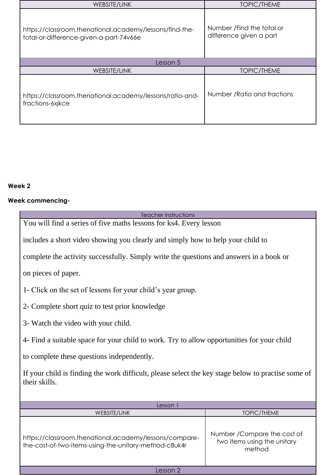| WEBSITE/LINK                                                                                       | <b>TOPIC/THEME</b>                                    |  |
|----------------------------------------------------------------------------------------------------|-------------------------------------------------------|--|
| https://classroom.thenational.academy/lessons/find-the-<br>total-or-difference-given-a-part-74v66e | Number / Find the total or<br>difference given a part |  |
| Lesson 5                                                                                           |                                                       |  |
| WEBSITE/LINK                                                                                       | <b>TOPIC/THEME</b>                                    |  |
| https://classroom.thenational.academy/lessons/ratio-and-<br>fractions-6xikce                       | Number / Ratio and fractions                          |  |

## **Week 2**

## **Week commencing-**

| Teacher instructions                                                                               |                              |  |
|----------------------------------------------------------------------------------------------------|------------------------------|--|
| You will find a series of five maths lessons for ks4. Every lesson                                 |                              |  |
|                                                                                                    |                              |  |
| includes a short video showing you clearly and simply how to help your child to                    |                              |  |
|                                                                                                    |                              |  |
| complete the activity successfully. Simply write the questions and answers in a book or            |                              |  |
|                                                                                                    |                              |  |
| on pieces of paper.                                                                                |                              |  |
|                                                                                                    |                              |  |
| 1- Click on the set of lessons for your child's year group.                                        |                              |  |
|                                                                                                    |                              |  |
| 2- Complete short quiz to test prior knowledge                                                     |                              |  |
|                                                                                                    |                              |  |
|                                                                                                    |                              |  |
| 3- Watch the video with your child.                                                                |                              |  |
|                                                                                                    |                              |  |
| 4- Find a suitable space for your child to work. Try to allow opportunities for your child         |                              |  |
|                                                                                                    |                              |  |
| to complete these questions independently.                                                         |                              |  |
|                                                                                                    |                              |  |
| If your child is finding the work difficult, please select the key stage below to practise some of |                              |  |
| their skills.                                                                                      |                              |  |
|                                                                                                    |                              |  |
|                                                                                                    |                              |  |
| Lesson 1                                                                                           |                              |  |
| WEBSITE/LINK                                                                                       | <b>TOPIC/THEME</b>           |  |
|                                                                                                    |                              |  |
|                                                                                                    | Number / Compare the cost of |  |
| https://classroom.thenational.academy/lessons/compare-                                             | two items using the unitary  |  |
| the-cost-of-two-items-using-the-unitary-method-c8uk4r                                              | method                       |  |
|                                                                                                    |                              |  |
|                                                                                                    |                              |  |
| Lesson 2                                                                                           |                              |  |